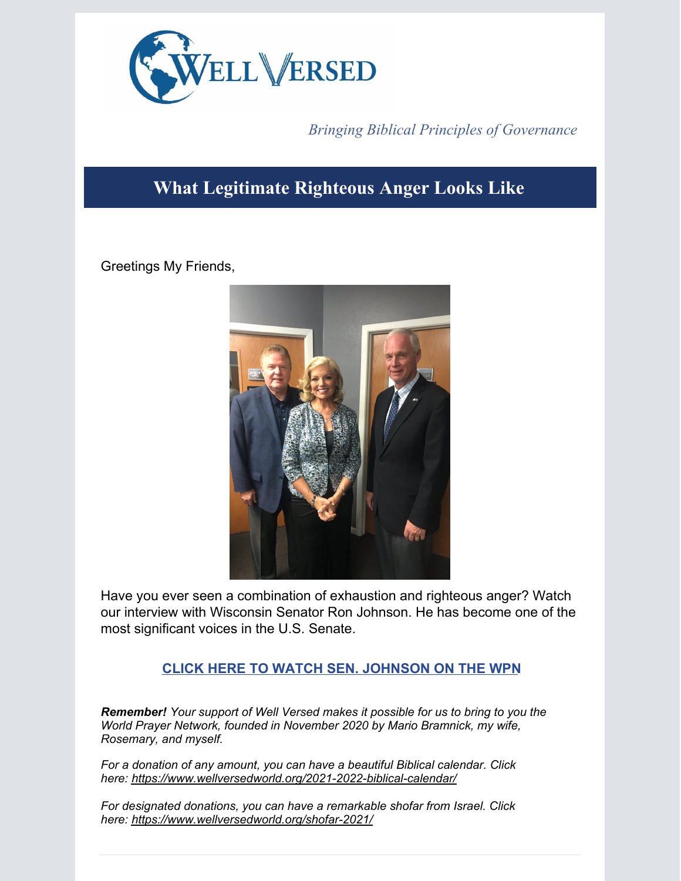

## *Bringing Biblical Principles of Governance*

## **What Legitimate Righteous Anger Looks Like**

Greetings My Friends,



Have you ever seen a combination of exhaustion and righteous anger? Watch our interview with Wisconsin Senator Ron Johnson. He has become one of the most significant voices in the U.S. Senate.

## **CLICK HERE TO WATCH SEN. [JOHNSON](https://app.videosquirrel.app/watch/2047) ON THE WPN**

*Remember! Your support of Well Versed makes it possible for us to bring to you the World Prayer Network, founded in November 2020 by Mario Bramnick, my wife, Rosemary, and myself.*

*For a donation of any amount, you can have a beautiful Biblical calendar. Click here: <https://www.wellversedworld.org/2021-2022-biblical-calendar/>*

*For designated donations, you can have a remarkable shofar from Israel. Click here: <https://www.wellversedworld.org/shofar-2021/>*